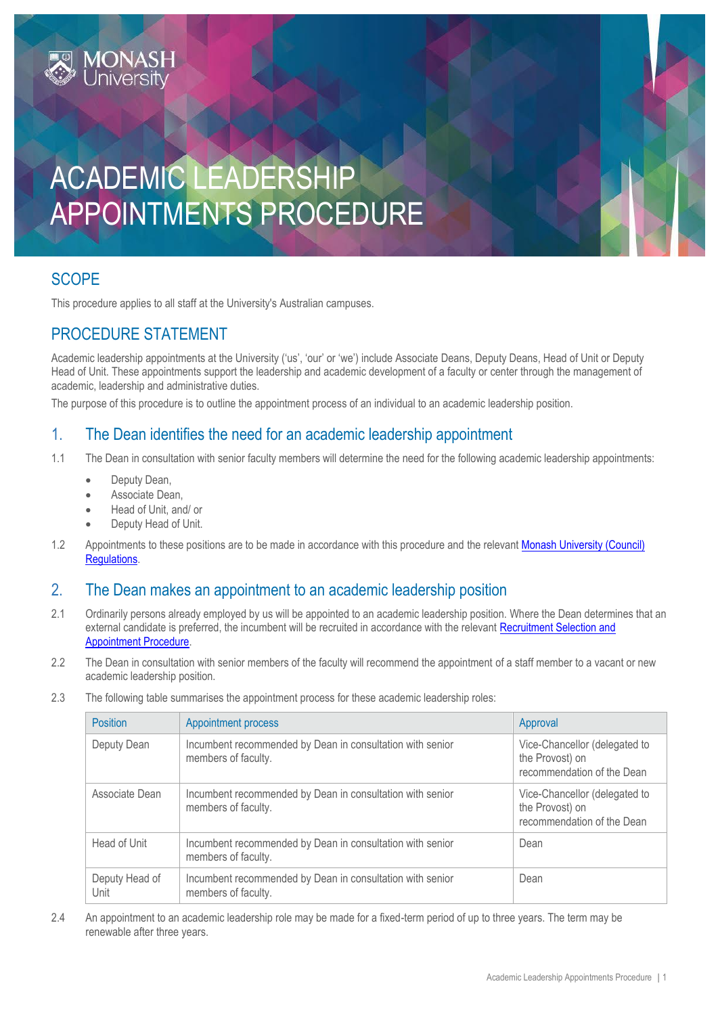

# **SCOPE**

This procedure applies to all staff at the University's Australian campuses.

### PROCEDURE STATEMENT

Academic leadership appointments at the University ('us', 'our' or 'we') include Associate Deans, Deputy Deans, Head of Unit or Deputy Head of Unit. These appointments support the leadership and academic development of a faculty or center through the management of academic, leadership and administrative duties.

The purpose of this procedure is to outline the appointment process of an individual to an academic leadership position.

#### 1. The Dean identifies the need for an academic leadership appointment

- 1.1 The Dean in consultation with senior faculty members will determine the need for the following academic leadership appointments:
	- Deputy Dean,
	- Associate Dean,
	- Head of Unit, and/ or
	- Deputy Head of Unit.
- 1.2 Appointments to these positions are to be made in accordance with this procedure and the relevant [Monash University \(Council\)](https://www.monash.edu/__data/assets/pdf_file/0011/1292825/Monash-University-Council-Regulations-26-Feb-2018.pdf)  [Regulations.](https://www.monash.edu/__data/assets/pdf_file/0011/1292825/Monash-University-Council-Regulations-26-Feb-2018.pdf)

#### 2. The Dean makes an appointment to an academic leadership position

- 2.1 Ordinarily persons already employed by us will be appointed to an academic leadership position. Where the Dean determines that an external candidate is preferred, the incumbent will be recruited in accordance with the relevant [Recruitment Selection and](https://www.monash.edu/policy-bank/workplace-policy/recruitment-and-appointment)  [Appointment Procedure.](https://www.monash.edu/policy-bank/workplace-policy/recruitment-and-appointment)
- 2.2 The Dean in consultation with senior members of the faculty will recommend the appointment of a staff member to a vacant or new academic leadership position.
- 2.3 The following table summarises the appointment process for these academic leadership roles:

| <b>Position</b>        | <b>Appointment process</b>                                                       | Approval                                                                       |
|------------------------|----------------------------------------------------------------------------------|--------------------------------------------------------------------------------|
| Deputy Dean            | Incumbent recommended by Dean in consultation with senior<br>members of faculty. | Vice-Chancellor (delegated to<br>the Provost) on<br>recommendation of the Dean |
| Associate Dean         | Incumbent recommended by Dean in consultation with senior<br>members of faculty. | Vice-Chancellor (delegated to<br>the Provost) on<br>recommendation of the Dean |
| Head of Unit           | Incumbent recommended by Dean in consultation with senior<br>members of faculty. | Dean                                                                           |
| Deputy Head of<br>Unit | Incumbent recommended by Dean in consultation with senior<br>members of faculty. | Dean                                                                           |

2.4 An appointment to an academic leadership role may be made for a fixed-term period of up to three years. The term may be renewable after three years.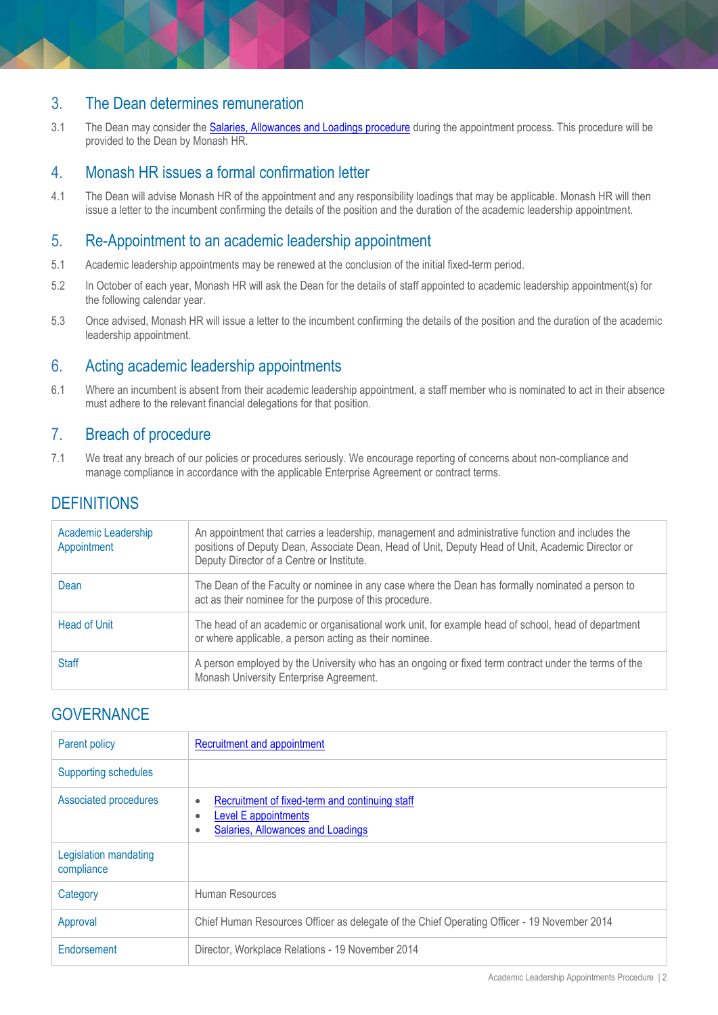### 3. The Dean determines remuneration

3.1 The Dean may consider the [Salaries, Allowances and Loadings procedure](https://publicpolicydms.monash.edu/Monash/documents/1935730) during the appointment process. This procedure will be provided to the Dean by Monash HR.

#### 4. Monash HR issues a formal confirmation letter

4.1 The Dean will advise Monash HR of the appointment and any responsibility loadings that may be applicable. Monash HR will then issue a letter to the incumbent confirming the details of the position and the duration of the academic leadership appointment.

### 5. Re-Appointment to an academic leadership appointment

- 5.1 Academic leadership appointments may be renewed at the conclusion of the initial fixed-term period.
- 5.2 In October of each year, Monash HR will ask the Dean for the details of staff appointed to academic leadership appointment(s) for the following calendar year.
- 5.3 Once advised, Monash HR will issue a letter to the incumbent confirming the details of the position and the duration of the academic leadership appointment.

## 6. Acting academic leadership appointments

6.1 Where an incumbent is absent from their academic leadership appointment, a staff member who is nominated to act in their absence must adhere to the relevant financial delegations for that position.

### 7. Breach of procedure

7.1 We treat any breach of our policies or procedures seriously. We encourage reporting of concerns about non-compliance and manage compliance in accordance with the applicable Enterprise Agreement or contract terms.

# **DEFINITIONS**

| Academic Leadership<br>Appointment | An appointment that carries a leadership, management and administrative function and includes the<br>positions of Deputy Dean, Associate Dean, Head of Unit, Deputy Head of Unit, Academic Director or<br>Deputy Director of a Centre or Institute. |
|------------------------------------|-----------------------------------------------------------------------------------------------------------------------------------------------------------------------------------------------------------------------------------------------------|
| Dean                               | The Dean of the Faculty or nominee in any case where the Dean has formally nominated a person to<br>act as their nominee for the purpose of this procedure.                                                                                         |
| Head of Unit                       | The head of an academic or organisational work unit, for example head of school, head of department<br>or where applicable, a person acting as their nominee.                                                                                       |
| <b>Staff</b>                       | A person employed by the University who has an ongoing or fixed term contract under the terms of the<br>Monash University Enterprise Agreement.                                                                                                     |

## **GOVERNANCE**

| Parent policy                       | Recruitment and appointment                                                                                                               |  |
|-------------------------------------|-------------------------------------------------------------------------------------------------------------------------------------------|--|
| <b>Supporting schedules</b>         |                                                                                                                                           |  |
| Associated procedures               | Recruitment of fixed-term and continuing staff<br>$\bullet$<br><b>Level E appointments</b><br>٠<br>Salaries, Allowances and Loadings<br>٠ |  |
| Legislation mandating<br>compliance |                                                                                                                                           |  |
| Category                            | Human Resources                                                                                                                           |  |
| Approval                            | Chief Human Resources Officer as delegate of the Chief Operating Officer - 19 November 2014                                               |  |
| Endorsement                         | Director, Workplace Relations - 19 November 2014                                                                                          |  |